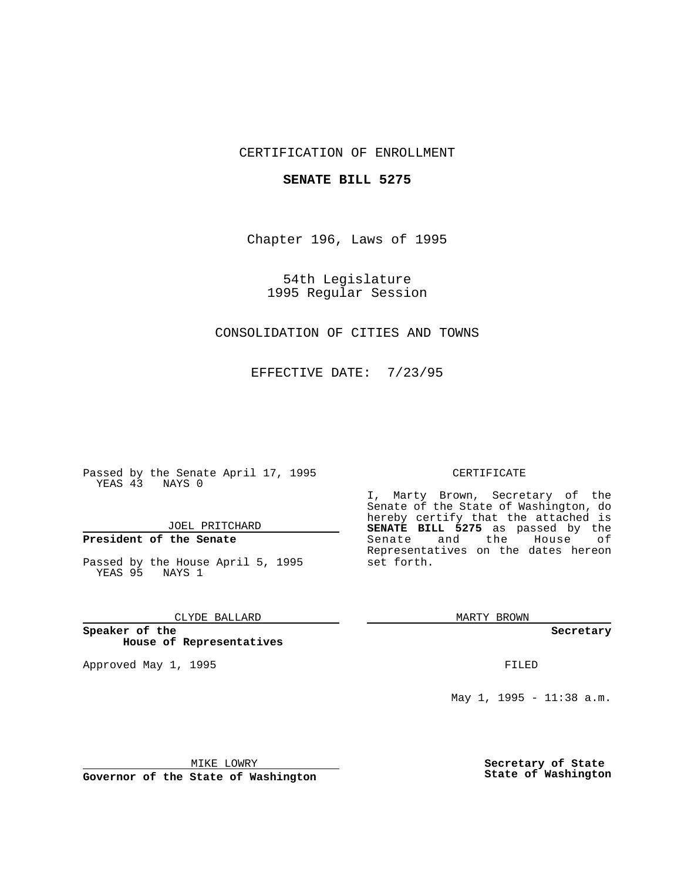## CERTIFICATION OF ENROLLMENT

### **SENATE BILL 5275**

Chapter 196, Laws of 1995

54th Legislature 1995 Regular Session

# CONSOLIDATION OF CITIES AND TOWNS

EFFECTIVE DATE: 7/23/95

Passed by the Senate April 17, 1995 YEAS 43 NAYS 0

JOEL PRITCHARD

# **President of the Senate**

Passed by the House April 5, 1995 YEAS 95 NAYS 1

### CLYDE BALLARD

**Speaker of the House of Representatives**

Approved May 1, 1995 **FILED** 

#### CERTIFICATE

I, Marty Brown, Secretary of the Senate of the State of Washington, do hereby certify that the attached is **SENATE BILL 5275** as passed by the Senate and the House of Representatives on the dates hereon set forth.

MARTY BROWN

**Secretary**

May 1, 1995 - 11:38 a.m.

MIKE LOWRY

**Governor of the State of Washington**

**Secretary of State State of Washington**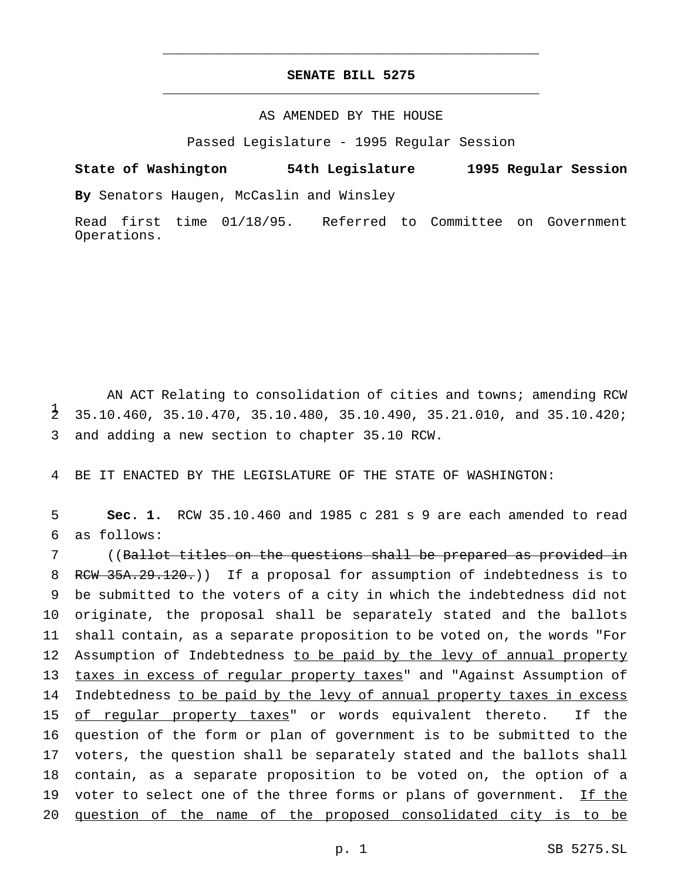# **SENATE BILL 5275** \_\_\_\_\_\_\_\_\_\_\_\_\_\_\_\_\_\_\_\_\_\_\_\_\_\_\_\_\_\_\_\_\_\_\_\_\_\_\_\_\_\_\_\_\_\_\_

\_\_\_\_\_\_\_\_\_\_\_\_\_\_\_\_\_\_\_\_\_\_\_\_\_\_\_\_\_\_\_\_\_\_\_\_\_\_\_\_\_\_\_\_\_\_\_

### AS AMENDED BY THE HOUSE

Passed Legislature - 1995 Regular Session

**State of Washington 54th Legislature 1995 Regular Session By** Senators Haugen, McCaslin and Winsley

Read first time 01/18/95. Referred to Committee on Government Operations.

AN ACT Relating to consolidation of cities and towns; amending RCW  $\frac{1}{2}$ 2 35.10.460, 35.10.470, 35.10.480, 35.10.490, 35.21.010, and 35.10.420; 3 and adding a new section to chapter 35.10 RCW.

4 BE IT ENACTED BY THE LEGISLATURE OF THE STATE OF WASHINGTON:

5 **Sec. 1.** RCW 35.10.460 and 1985 c 281 s 9 are each amended to read 6 as follows:

7 ((Ballot titles on the questions shall be prepared as provided in 8 RCW 35A.29.120.)) If a proposal for assumption of indebtedness is to 9 be submitted to the voters of a city in which the indebtedness did not 10 originate, the proposal shall be separately stated and the ballots 11 shall contain, as a separate proposition to be voted on, the words "For 12 Assumption of Indebtedness to be paid by the levy of annual property 13 taxes in excess of regular property taxes" and "Against Assumption of 14 Indebtedness to be paid by the levy of annual property taxes in excess 15 of regular property taxes" or words equivalent thereto. If the 16 question of the form or plan of government is to be submitted to the 17 voters, the question shall be separately stated and the ballots shall 18 contain, as a separate proposition to be voted on, the option of a 19 voter to select one of the three forms or plans of government. If the 20 question of the name of the proposed consolidated city is to be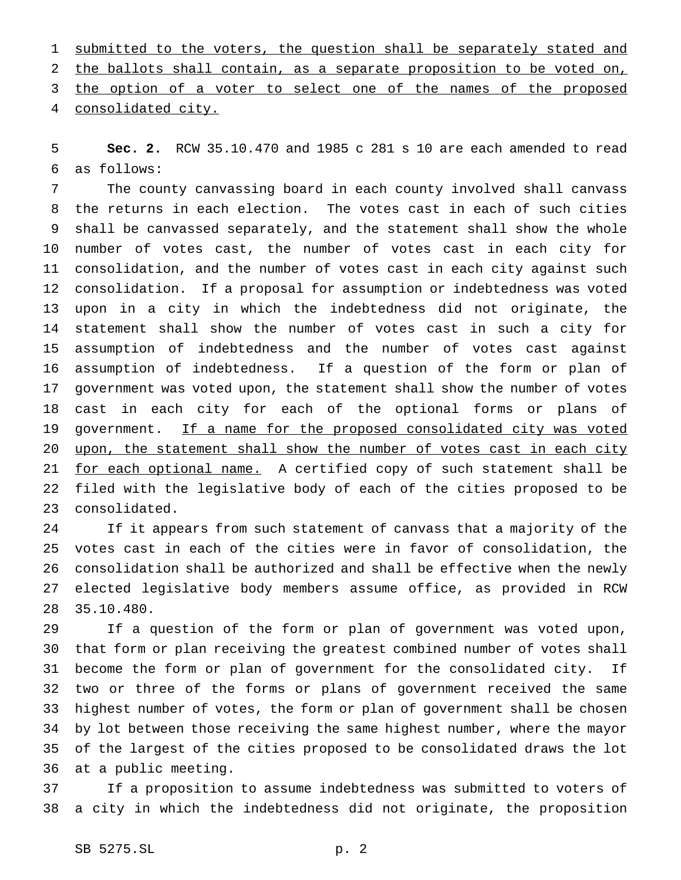1 submitted to the voters, the question shall be separately stated and the ballots shall contain, as a separate proposition to be voted on, 3 the option of a voter to select one of the names of the proposed consolidated city.

 **Sec. 2.** RCW 35.10.470 and 1985 c 281 s 10 are each amended to read as follows:

 The county canvassing board in each county involved shall canvass the returns in each election. The votes cast in each of such cities shall be canvassed separately, and the statement shall show the whole number of votes cast, the number of votes cast in each city for consolidation, and the number of votes cast in each city against such consolidation. If a proposal for assumption or indebtedness was voted upon in a city in which the indebtedness did not originate, the statement shall show the number of votes cast in such a city for assumption of indebtedness and the number of votes cast against assumption of indebtedness. If a question of the form or plan of government was voted upon, the statement shall show the number of votes cast in each city for each of the optional forms or plans of 19 government. If a name for the proposed consolidated city was voted 20 upon, the statement shall show the number of votes cast in each city 21 for each optional name. A certified copy of such statement shall be filed with the legislative body of each of the cities proposed to be consolidated.

 If it appears from such statement of canvass that a majority of the votes cast in each of the cities were in favor of consolidation, the consolidation shall be authorized and shall be effective when the newly elected legislative body members assume office, as provided in RCW 35.10.480.

 If a question of the form or plan of government was voted upon, that form or plan receiving the greatest combined number of votes shall become the form or plan of government for the consolidated city. If two or three of the forms or plans of government received the same highest number of votes, the form or plan of government shall be chosen by lot between those receiving the same highest number, where the mayor of the largest of the cities proposed to be consolidated draws the lot at a public meeting.

 If a proposition to assume indebtedness was submitted to voters of a city in which the indebtedness did not originate, the proposition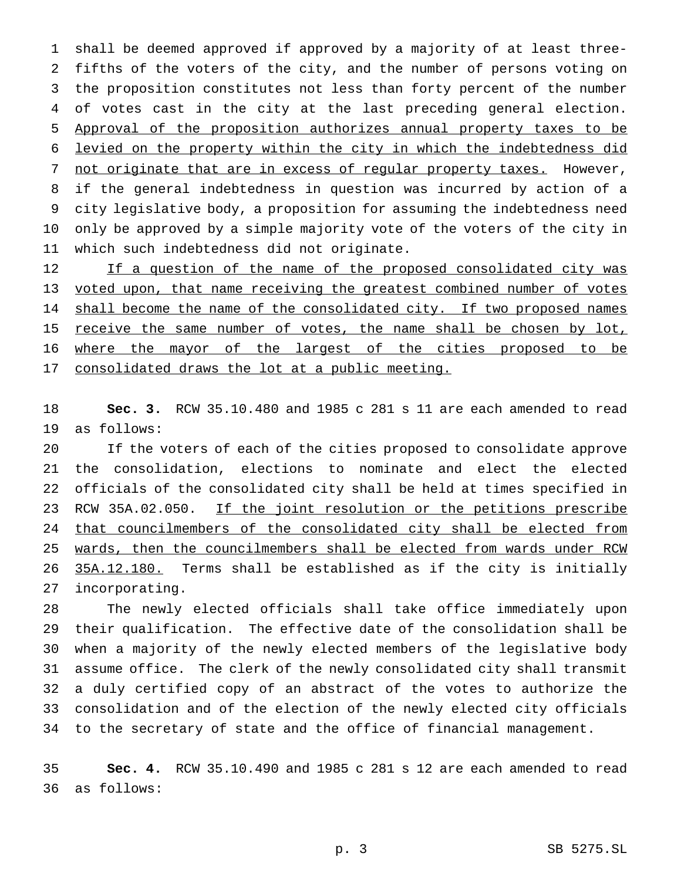shall be deemed approved if approved by a majority of at least three- fifths of the voters of the city, and the number of persons voting on the proposition constitutes not less than forty percent of the number of votes cast in the city at the last preceding general election. Approval of the proposition authorizes annual property taxes to be levied on the property within the city in which the indebtedness did 7 not originate that are in excess of regular property taxes. However, if the general indebtedness in question was incurred by action of a city legislative body, a proposition for assuming the indebtedness need only be approved by a simple majority vote of the voters of the city in which such indebtedness did not originate.

12 If a question of the name of the proposed consolidated city was 13 voted upon, that name receiving the greatest combined number of votes 14 shall become the name of the consolidated city. If two proposed names 15 receive the same number of votes, the name shall be chosen by lot, where the mayor of the largest of the cities proposed to be 17 consolidated draws the lot at a public meeting.

 **Sec. 3.** RCW 35.10.480 and 1985 c 281 s 11 are each amended to read as follows:

 If the voters of each of the cities proposed to consolidate approve the consolidation, elections to nominate and elect the elected officials of the consolidated city shall be held at times specified in 23 RCW 35A.02.050. If the joint resolution or the petitions prescribe 24 that councilmembers of the consolidated city shall be elected from 25 wards, then the councilmembers shall be elected from wards under RCW 35A.12.180. Terms shall be established as if the city is initially incorporating.

 The newly elected officials shall take office immediately upon their qualification. The effective date of the consolidation shall be when a majority of the newly elected members of the legislative body assume office. The clerk of the newly consolidated city shall transmit a duly certified copy of an abstract of the votes to authorize the consolidation and of the election of the newly elected city officials to the secretary of state and the office of financial management.

 **Sec. 4.** RCW 35.10.490 and 1985 c 281 s 12 are each amended to read as follows: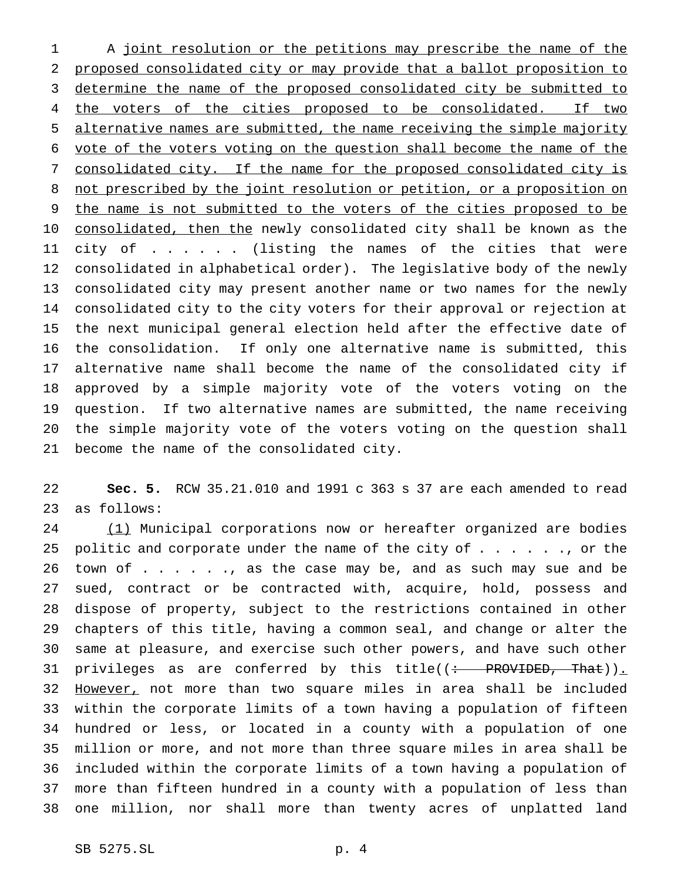1 A joint resolution or the petitions may prescribe the name of the proposed consolidated city or may provide that a ballot proposition to determine the name of the proposed consolidated city be submitted to 4 the voters of the cities proposed to be consolidated. If two alternative names are submitted, the name receiving the simple majority vote of the voters voting on the question shall become the name of the consolidated city. If the name for the proposed consolidated city is not prescribed by the joint resolution or petition, or a proposition on the name is not submitted to the voters of the cities proposed to be 10 consolidated, then the newly consolidated city shall be known as the city of ...... (listing the names of the cities that were consolidated in alphabetical order). The legislative body of the newly consolidated city may present another name or two names for the newly consolidated city to the city voters for their approval or rejection at the next municipal general election held after the effective date of the consolidation. If only one alternative name is submitted, this alternative name shall become the name of the consolidated city if approved by a simple majority vote of the voters voting on the question. If two alternative names are submitted, the name receiving the simple majority vote of the voters voting on the question shall become the name of the consolidated city.

 **Sec. 5.** RCW 35.21.010 and 1991 c 363 s 37 are each amended to read as follows:

24 (1) Municipal corporations now or hereafter organized are bodies 25 politic and corporate under the name of the city of  $\dots$  . . . . , or the 26 town of . . . . . ., as the case may be, and as such may sue and be sued, contract or be contracted with, acquire, hold, possess and dispose of property, subject to the restrictions contained in other chapters of this title, having a common seal, and change or alter the same at pleasure, and exercise such other powers, and have such other 31 privileges as are conferred by this title((: PROVIDED, That)). 32 However, not more than two square miles in area shall be included within the corporate limits of a town having a population of fifteen hundred or less, or located in a county with a population of one million or more, and not more than three square miles in area shall be included within the corporate limits of a town having a population of more than fifteen hundred in a county with a population of less than one million, nor shall more than twenty acres of unplatted land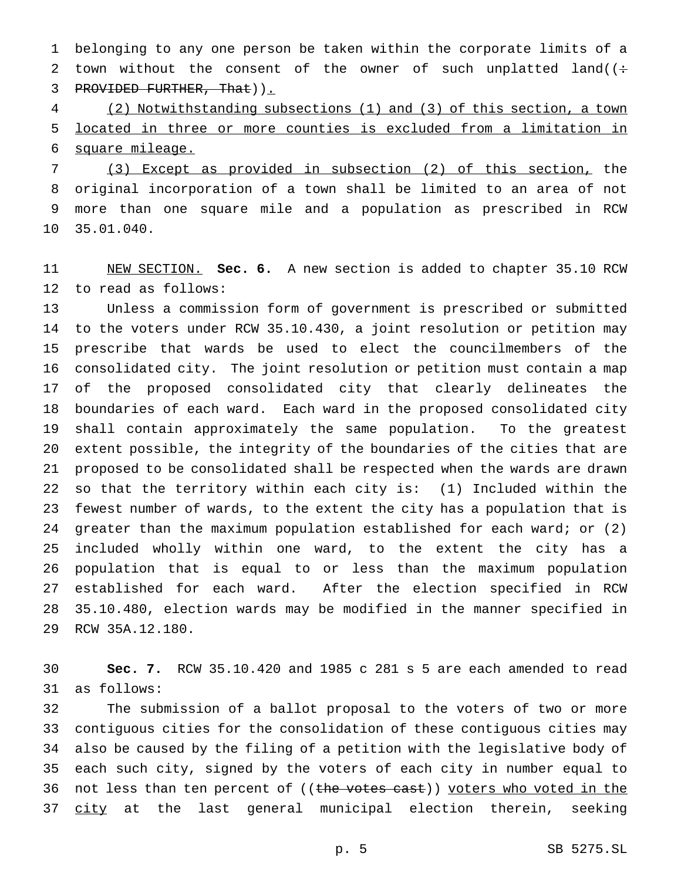belonging to any one person be taken within the corporate limits of a 2 town without the consent of the owner of such unplatted land( $($ : 3 PROVIDED FURTHER, That)).

 (2) Notwithstanding subsections (1) and (3) of this section, a town located in three or more counties is excluded from a limitation in square mileage.

 (3) Except as provided in subsection (2) of this section, the original incorporation of a town shall be limited to an area of not more than one square mile and a population as prescribed in RCW 35.01.040.

 NEW SECTION. **Sec. 6.** A new section is added to chapter 35.10 RCW to read as follows:

 Unless a commission form of government is prescribed or submitted to the voters under RCW 35.10.430, a joint resolution or petition may prescribe that wards be used to elect the councilmembers of the consolidated city. The joint resolution or petition must contain a map of the proposed consolidated city that clearly delineates the boundaries of each ward. Each ward in the proposed consolidated city shall contain approximately the same population. To the greatest extent possible, the integrity of the boundaries of the cities that are proposed to be consolidated shall be respected when the wards are drawn so that the territory within each city is: (1) Included within the fewest number of wards, to the extent the city has a population that is greater than the maximum population established for each ward; or (2) included wholly within one ward, to the extent the city has a population that is equal to or less than the maximum population established for each ward. After the election specified in RCW 35.10.480, election wards may be modified in the manner specified in RCW 35A.12.180.

 **Sec. 7.** RCW 35.10.420 and 1985 c 281 s 5 are each amended to read as follows:

 The submission of a ballot proposal to the voters of two or more contiguous cities for the consolidation of these contiguous cities may also be caused by the filing of a petition with the legislative body of each such city, signed by the voters of each city in number equal to 36 not less than ten percent of ((the votes cast)) voters who voted in the 37 city at the last general municipal election therein, seeking